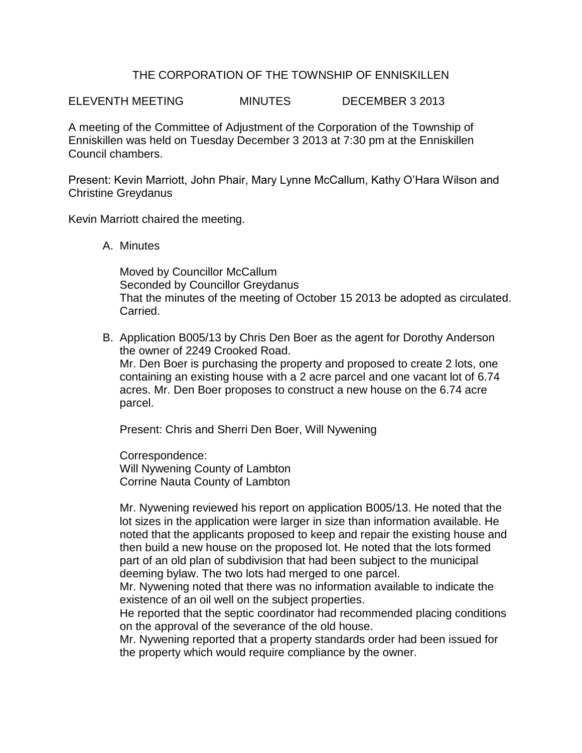## THE CORPORATION OF THE TOWNSHIP OF ENNISKILLEN

ELEVENTH MEETING MINUTES DECEMBER 3 2013

A meeting of the Committee of Adjustment of the Corporation of the Township of Enniskillen was held on Tuesday December 3 2013 at 7:30 pm at the Enniskillen Council chambers.

Present: Kevin Marriott, John Phair, Mary Lynne McCallum, Kathy O'Hara Wilson and Christine Greydanus

Kevin Marriott chaired the meeting.

A. Minutes

Moved by Councillor McCallum Seconded by Councillor Greydanus That the minutes of the meeting of October 15 2013 be adopted as circulated. Carried.

B. Application B005/13 by Chris Den Boer as the agent for Dorothy Anderson the owner of 2249 Crooked Road. Mr. Den Boer is purchasing the property and proposed to create 2 lots, one containing an existing house with a 2 acre parcel and one vacant lot of 6.74 acres. Mr. Den Boer proposes to construct a new house on the 6.74 acre parcel.

Present: Chris and Sherri Den Boer, Will Nywening

Correspondence: Will Nywening County of Lambton Corrine Nauta County of Lambton

Mr. Nywening reviewed his report on application B005/13. He noted that the lot sizes in the application were larger in size than information available. He noted that the applicants proposed to keep and repair the existing house and then build a new house on the proposed lot. He noted that the lots formed part of an old plan of subdivision that had been subject to the municipal deeming bylaw. The two lots had merged to one parcel.

Mr. Nywening noted that there was no information available to indicate the existence of an oil well on the subject properties.

He reported that the septic coordinator had recommended placing conditions on the approval of the severance of the old house.

Mr. Nywening reported that a property standards order had been issued for the property which would require compliance by the owner.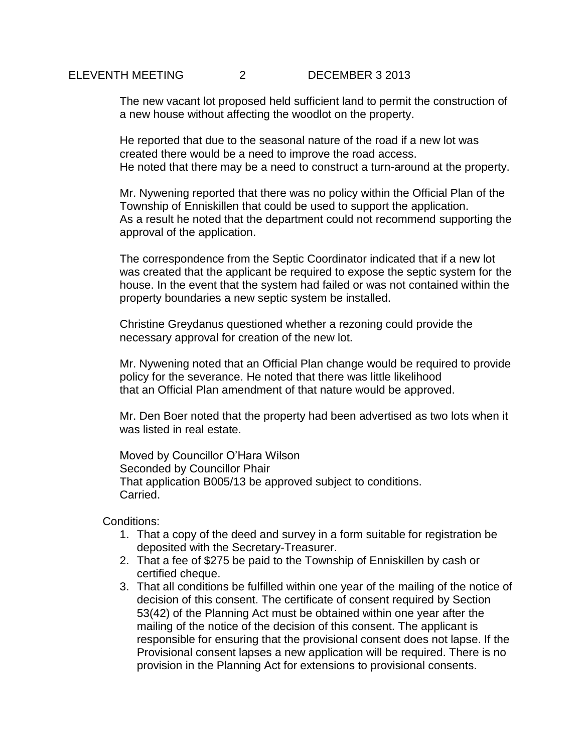## ELEVENTH MEETING 2 DECEMBER 3 2013

The new vacant lot proposed held sufficient land to permit the construction of a new house without affecting the woodlot on the property.

He reported that due to the seasonal nature of the road if a new lot was created there would be a need to improve the road access. He noted that there may be a need to construct a turn-around at the property.

Mr. Nywening reported that there was no policy within the Official Plan of the Township of Enniskillen that could be used to support the application. As a result he noted that the department could not recommend supporting the approval of the application.

The correspondence from the Septic Coordinator indicated that if a new lot was created that the applicant be required to expose the septic system for the house. In the event that the system had failed or was not contained within the property boundaries a new septic system be installed.

Christine Greydanus questioned whether a rezoning could provide the necessary approval for creation of the new lot.

Mr. Nywening noted that an Official Plan change would be required to provide policy for the severance. He noted that there was little likelihood that an Official Plan amendment of that nature would be approved.

Mr. Den Boer noted that the property had been advertised as two lots when it was listed in real estate.

Moved by Councillor O'Hara Wilson Seconded by Councillor Phair That application B005/13 be approved subject to conditions. Carried.

Conditions:

- 1. That a copy of the deed and survey in a form suitable for registration be deposited with the Secretary-Treasurer.
- 2. That a fee of \$275 be paid to the Township of Enniskillen by cash or certified cheque.
- 3. That all conditions be fulfilled within one year of the mailing of the notice of decision of this consent. The certificate of consent required by Section 53(42) of the Planning Act must be obtained within one year after the mailing of the notice of the decision of this consent. The applicant is responsible for ensuring that the provisional consent does not lapse. If the Provisional consent lapses a new application will be required. There is no provision in the Planning Act for extensions to provisional consents.